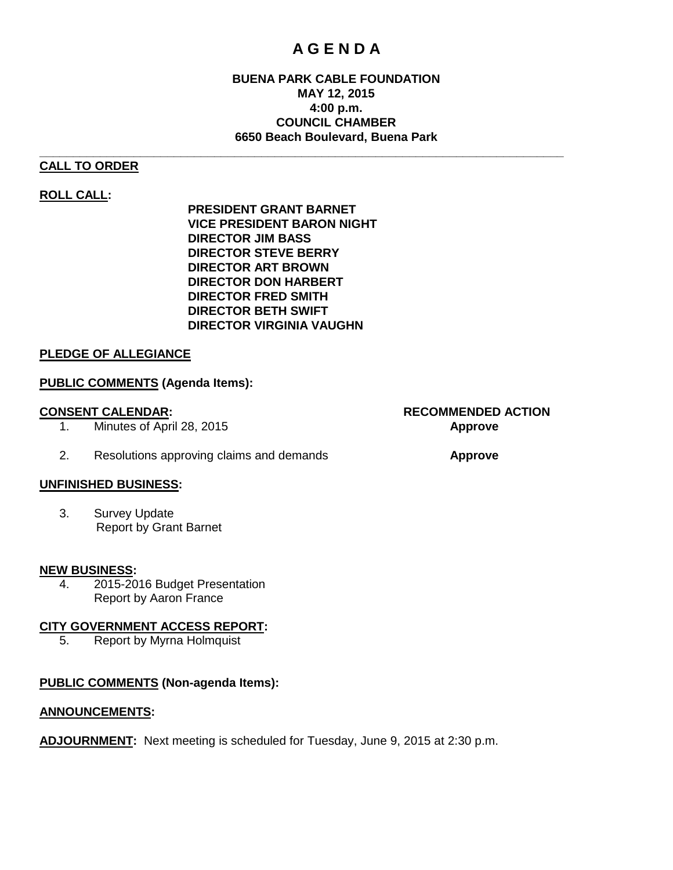# **A G E N D A**

# **BUENA PARK CABLE FOUNDATION MAY 12, 2015 4:00 p.m. COUNCIL CHAMBER 6650 Beach Boulevard, Buena Park**

#### **\_\_\_\_\_\_\_\_\_\_\_\_\_\_\_\_\_\_\_\_\_\_\_\_\_\_\_\_\_\_\_\_\_\_\_\_\_\_\_\_\_\_\_\_\_\_\_\_\_\_\_\_\_\_\_\_\_\_\_\_\_\_\_\_\_\_\_\_\_\_\_\_\_\_\_\_\_\_ CALL TO ORDER**

# **ROLL CALL:**

**PRESIDENT GRANT BARNET VICE PRESIDENT BARON NIGHT DIRECTOR JIM BASS DIRECTOR STEVE BERRY DIRECTOR ART BROWN DIRECTOR DON HARBERT DIRECTOR FRED SMITH DIRECTOR BETH SWIFT DIRECTOR VIRGINIA VAUGHN**

# **PLEDGE OF ALLEGIANCE**

# **PUBLIC COMMENTS (Agenda Items):**

- 1. Minutes of April 28, 2015 **Approve**
- 2. Resolutions approving claims and demands **Approve**

# **UNFINISHED BUSINESS:**

3. Survey Update Report by Grant Barnet

#### **NEW BUSINESS:**

4. 2015-2016 Budget Presentation Report by Aaron France

# **CITY GOVERNMENT ACCESS REPORT:**

5. Report by Myrna Holmquist

# **PUBLIC COMMENTS (Non-agenda Items):**

#### **ANNOUNCEMENTS:**

**ADJOURNMENT:** Next meeting is scheduled for Tuesday, June 9, 2015 at 2:30 p.m.

**CONSENT CALENDAR: RECOMMENDED ACTION**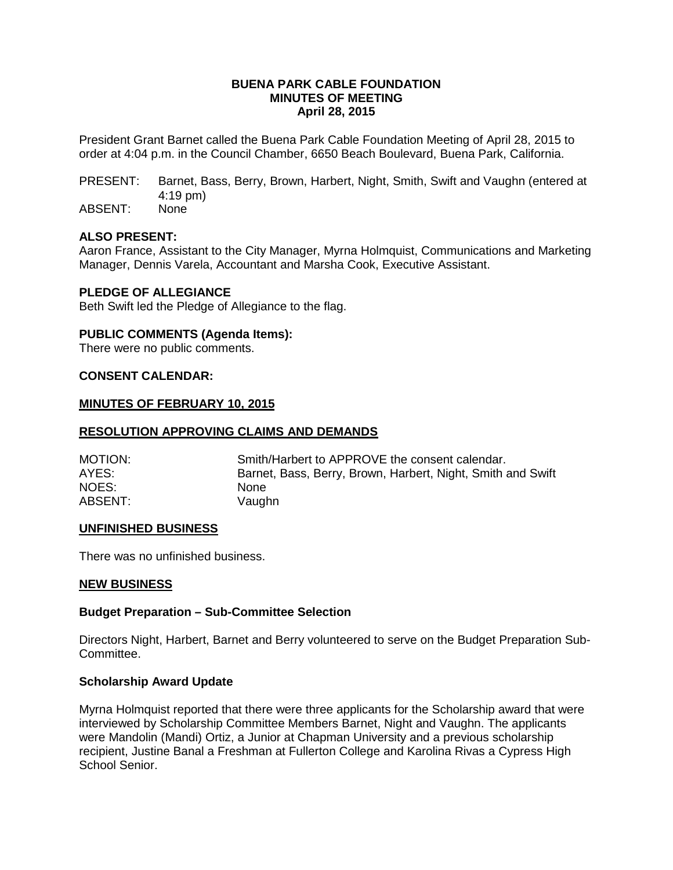#### **BUENA PARK CABLE FOUNDATION MINUTES OF MEETING April 28, 2015**

President Grant Barnet called the Buena Park Cable Foundation Meeting of April 28, 2015 to order at 4:04 p.m. in the Council Chamber, 6650 Beach Boulevard, Buena Park, California.

PRESENT: Barnet, Bass, Berry, Brown, Harbert, Night, Smith, Swift and Vaughn (entered at 4:19 pm)

ABSENT: None

### **ALSO PRESENT:**

Aaron France, Assistant to the City Manager, Myrna Holmquist, Communications and Marketing Manager, Dennis Varela, Accountant and Marsha Cook, Executive Assistant.

#### **PLEDGE OF ALLEGIANCE**

Beth Swift led the Pledge of Allegiance to the flag.

#### **PUBLIC COMMENTS (Agenda Items):**

There were no public comments.

#### **CONSENT CALENDAR:**

#### **MINUTES OF FEBRUARY 10, 2015**

#### **RESOLUTION APPROVING CLAIMS AND DEMANDS**

| MOTION: | Smith/Harbert to APPROVE the consent calendar.              |
|---------|-------------------------------------------------------------|
| AYES:   | Barnet, Bass, Berry, Brown, Harbert, Night, Smith and Swift |
| NOES:   | <b>None</b>                                                 |
| ABSENT: | Vaughn                                                      |

#### **UNFINISHED BUSINESS**

There was no unfinished business.

#### **NEW BUSINESS**

#### **Budget Preparation – Sub-Committee Selection**

Directors Night, Harbert, Barnet and Berry volunteered to serve on the Budget Preparation Sub-Committee.

#### **Scholarship Award Update**

Myrna Holmquist reported that there were three applicants for the Scholarship award that were interviewed by Scholarship Committee Members Barnet, Night and Vaughn. The applicants were Mandolin (Mandi) Ortiz, a Junior at Chapman University and a previous scholarship recipient, Justine Banal a Freshman at Fullerton College and Karolina Rivas a Cypress High School Senior.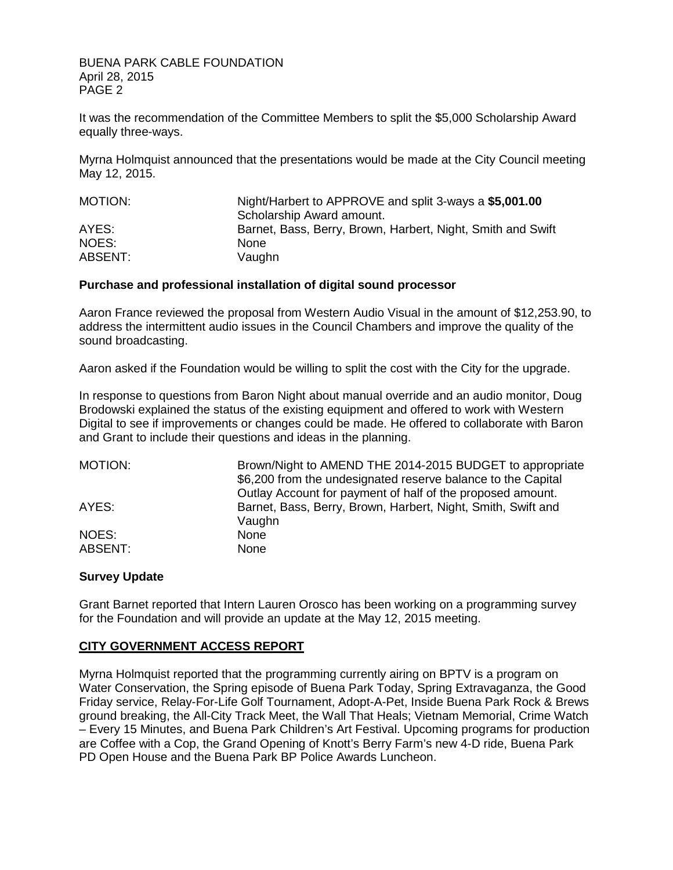BUENA PARK CABLE FOUNDATION April 28, 2015 PAGE 2

It was the recommendation of the Committee Members to split the \$5,000 Scholarship Award equally three-ways.

Myrna Holmquist announced that the presentations would be made at the City Council meeting May 12, 2015.

| MOTION: | Night/Harbert to APPROVE and split 3-ways a \$5,001.00      |
|---------|-------------------------------------------------------------|
|         | Scholarship Award amount.                                   |
| AYES:   | Barnet, Bass, Berry, Brown, Harbert, Night, Smith and Swift |
| NOES:   | <b>None</b>                                                 |
| ABSENT: | Vaughn                                                      |

#### **Purchase and professional installation of digital sound processor**

Aaron France reviewed the proposal from Western Audio Visual in the amount of \$12,253.90, to address the intermittent audio issues in the Council Chambers and improve the quality of the sound broadcasting.

Aaron asked if the Foundation would be willing to split the cost with the City for the upgrade.

In response to questions from Baron Night about manual override and an audio monitor, Doug Brodowski explained the status of the existing equipment and offered to work with Western Digital to see if improvements or changes could be made. He offered to collaborate with Baron and Grant to include their questions and ideas in the planning.

MOTION: Brown/Night to AMEND THE 2014-2015 BUDGET to appropriate \$6,200 from the undesignated reserve balance to the Capital Outlay Account for payment of half of the proposed amount. AYES: Barnet, Bass, Berry, Brown, Harbert, Night, Smith, Swift and Vaughn NOES: None ABSENT: None

#### **Survey Update**

Grant Barnet reported that Intern Lauren Orosco has been working on a programming survey for the Foundation and will provide an update at the May 12, 2015 meeting.

# **CITY GOVERNMENT ACCESS REPORT**

Myrna Holmquist reported that the programming currently airing on BPTV is a program on Water Conservation, the Spring episode of Buena Park Today, Spring Extravaganza, the Good Friday service, Relay-For-Life Golf Tournament, Adopt-A-Pet, Inside Buena Park Rock & Brews ground breaking, the All-City Track Meet, the Wall That Heals; Vietnam Memorial, Crime Watch – Every 15 Minutes, and Buena Park Children's Art Festival. Upcoming programs for production are Coffee with a Cop, the Grand Opening of Knott's Berry Farm's new 4-D ride, Buena Park PD Open House and the Buena Park BP Police Awards Luncheon.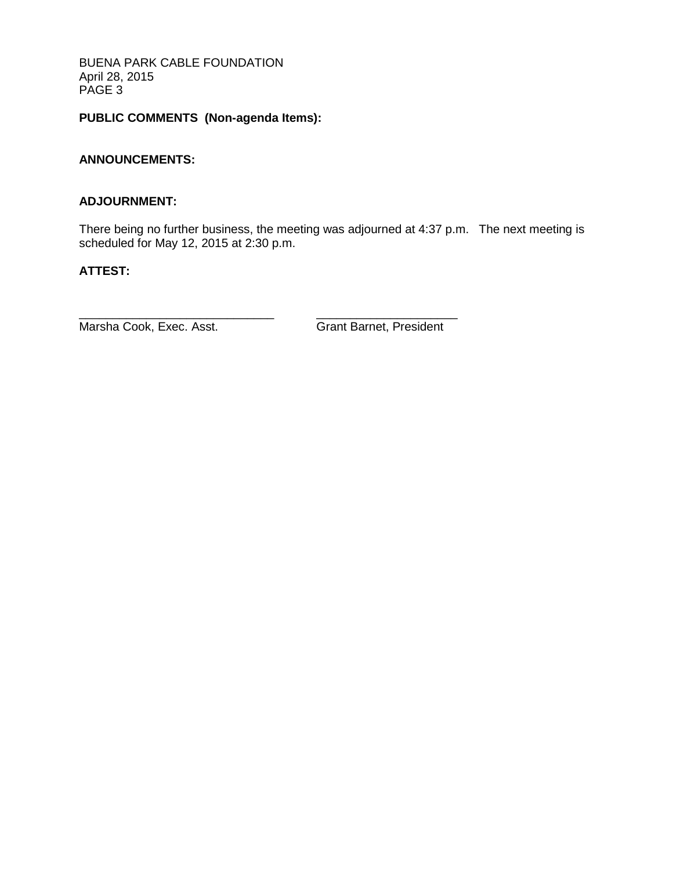BUENA PARK CABLE FOUNDATION April 28, 2015 PAGE 3

# **PUBLIC COMMENTS (Non-agenda Items):**

# **ANNOUNCEMENTS:**

#### **ADJOURNMENT:**

There being no further business, the meeting was adjourned at 4:37 p.m. The next meeting is scheduled for May 12, 2015 at 2:30 p.m.

### **ATTEST:**

Marsha Cook, Exec. Asst. Grant Barnet, President

\_\_\_\_\_\_\_\_\_\_\_\_\_\_\_\_\_\_\_\_\_\_\_\_\_\_\_\_\_ \_\_\_\_\_\_\_\_\_\_\_\_\_\_\_\_\_\_\_\_\_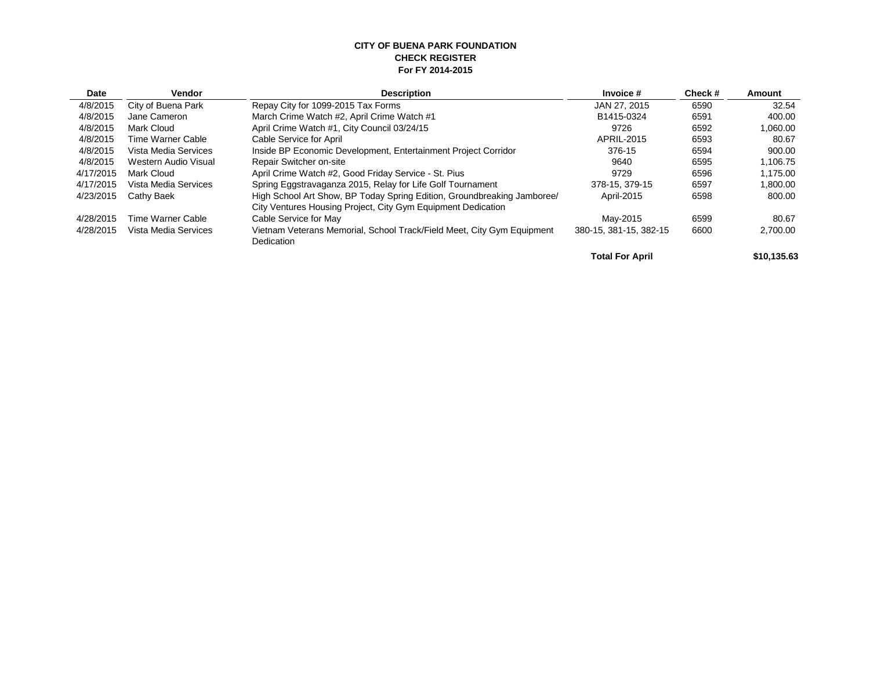#### **CITY OF BUENA PARK FOUNDATION CHECK REGISTER For FY 2014-2015**

| <b>Date</b> | <b>Vendor</b>        | <b>Description</b>                                                      | Invoice #              | Check# | <b>Amount</b> |
|-------------|----------------------|-------------------------------------------------------------------------|------------------------|--------|---------------|
| 4/8/2015    | City of Buena Park   | Repay City for 1099-2015 Tax Forms                                      | JAN 27, 2015           | 6590   | 32.54         |
| 4/8/2015    | Jane Cameron         | March Crime Watch #2, April Crime Watch #1                              | B1415-0324             | 6591   | 400.00        |
| 4/8/2015    | Mark Cloud           | April Crime Watch #1, City Council 03/24/15                             | 9726                   | 6592   | 1,060.00      |
| 4/8/2015    | Time Warner Cable    | Cable Service for April                                                 | APRIL-2015             | 6593   | 80.67         |
| 4/8/2015    | Vista Media Services | Inside BP Economic Development, Entertainment Project Corridor          | 376-15                 | 6594   | 900.00        |
| 4/8/2015    | Western Audio Visual | <b>Repair Switcher on-site</b>                                          | 9640                   | 6595   | 1.106.75      |
| 4/17/2015   | Mark Cloud           | April Crime Watch #2, Good Friday Service - St. Pius                    | 9729                   | 6596   | 1,175.00      |
| 4/17/2015   | Vista Media Services | Spring Eggstravaganza 2015, Relay for Life Golf Tournament              | 378-15, 379-15         | 6597   | 1,800.00      |
| 4/23/2015   | Cathy Baek           | High School Art Show, BP Today Spring Edition, Groundbreaking Jamboree/ | April-2015             | 6598   | 800.00        |
|             |                      | City Ventures Housing Project, City Gym Equipment Dedication            |                        |        |               |
| 4/28/2015   | Time Warner Cable    | Cable Service for May                                                   | May-2015               | 6599   | 80.67         |
| 4/28/2015   | Vista Media Services | Vietnam Veterans Memorial, School Track/Field Meet, City Gym Equipment  | 380-15, 381-15, 382-15 | 6600   | 2,700.00      |
|             |                      | Dedication                                                              |                        |        |               |
|             |                      |                                                                         | <b>Total For April</b> |        | \$10.135.63   |